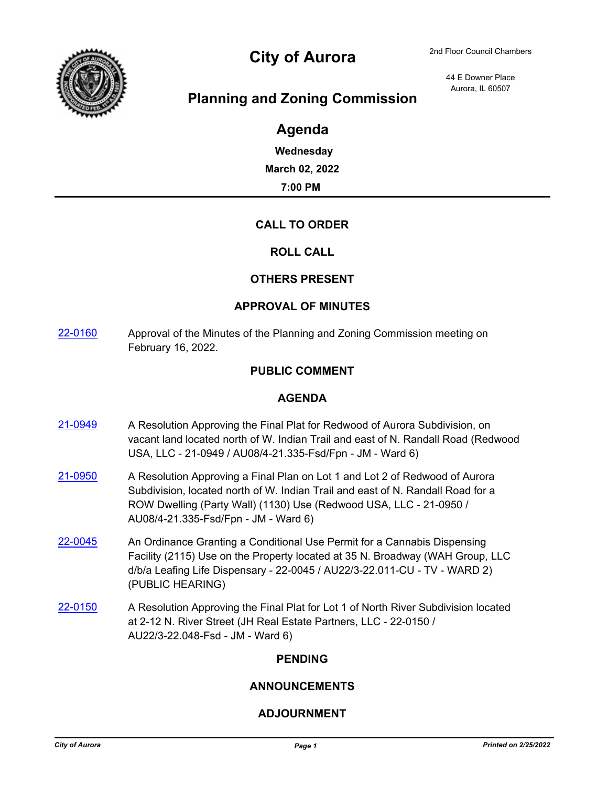

# City of Aurora 2nd Floor Council Chambers

44 E Downer Place Aurora, IL 60507

# **Planning and Zoning Commission**

# **Agenda**

**Wednesday March 02, 2022 7:00 PM**

## **CALL TO ORDER**

#### **ROLL CALL**

#### **OTHERS PRESENT**

#### **APPROVAL OF MINUTES**

[22-0160](http://aurora-il.legistar.com/gateway.aspx?m=l&id=/matter.aspx?key=11249) Approval of the Minutes of the Planning and Zoning Commission meeting on February 16, 2022.

#### **PUBLIC COMMENT**

#### **AGENDA**

- [21-0949](http://aurora-il.legistar.com/gateway.aspx?m=l&id=/matter.aspx?key=10966) A Resolution Approving the Final Plat for Redwood of Aurora Subdivision, on vacant land located north of W. Indian Trail and east of N. Randall Road (Redwood USA, LLC - 21-0949 / AU08/4-21.335-Fsd/Fpn - JM - Ward 6)
- [21-0950](http://aurora-il.legistar.com/gateway.aspx?m=l&id=/matter.aspx?key=10967) A Resolution Approving a Final Plan on Lot 1 and Lot 2 of Redwood of Aurora Subdivision, located north of W. Indian Trail and east of N. Randall Road for a ROW Dwelling (Party Wall) (1130) Use (Redwood USA, LLC - 21-0950 / AU08/4-21.335-Fsd/Fpn - JM - Ward 6)
- [22-0045](http://aurora-il.legistar.com/gateway.aspx?m=l&id=/matter.aspx?key=11134) An Ordinance Granting a Conditional Use Permit for a Cannabis Dispensing Facility (2115) Use on the Property located at 35 N. Broadway (WAH Group, LLC d/b/a Leafing Life Dispensary - 22-0045 / AU22/3-22.011-CU - TV - WARD 2) (PUBLIC HEARING)
- [22-0150](http://aurora-il.legistar.com/gateway.aspx?m=l&id=/matter.aspx?key=11239) A Resolution Approving the Final Plat for Lot 1 of North River Subdivision located at 2-12 N. River Street (JH Real Estate Partners, LLC - 22-0150 / AU22/3-22.048-Fsd - JM - Ward 6)

## **PENDING**

#### **ANNOUNCEMENTS**

## **ADJOURNMENT**